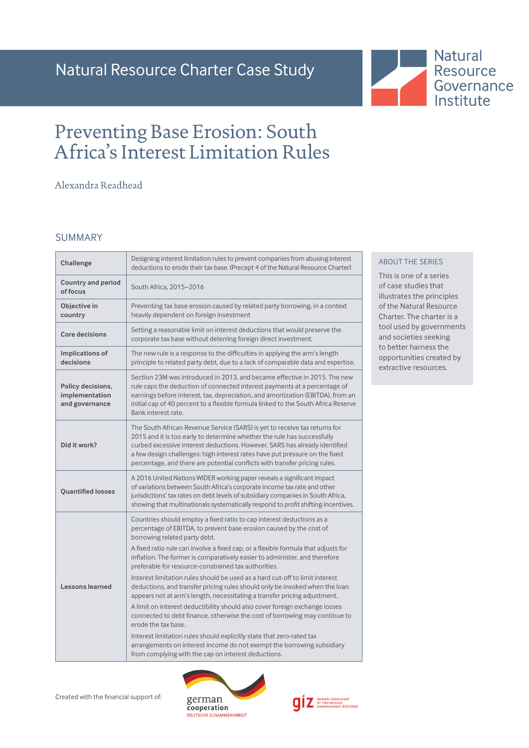# Preventing Base Erosion: South Africa's Interest Limitation Rules

# Alexandra Readhead

## SUMMARY

| Challenge                                             | Designing interest limitation rules to prevent companies from abusing interest<br>deductions to erode their tax base. (Precept 4 of the Natural Resource Charter)                                                                                                                                                                                                                                |
|-------------------------------------------------------|--------------------------------------------------------------------------------------------------------------------------------------------------------------------------------------------------------------------------------------------------------------------------------------------------------------------------------------------------------------------------------------------------|
| <b>Country and period</b><br>of focus                 | South Africa, 2015-2016                                                                                                                                                                                                                                                                                                                                                                          |
| Objective in<br>country                               | Preventing tax base erosion caused by related party borrowing, in a context<br>heavily dependent on foreign investment                                                                                                                                                                                                                                                                           |
| <b>Core decisions</b>                                 | Setting a reasonable limit on interest deductions that would preserve the<br>corporate tax base without deterring foreign direct investment.                                                                                                                                                                                                                                                     |
| Implications of<br>decisions                          | The new rule is a response to the difficulties in applying the arm's length<br>principle to related party debt, due to a lack of comparable data and expertise.                                                                                                                                                                                                                                  |
| Policy decisions,<br>implementation<br>and governance | Section 23M was introduced in 2013, and became effective in 2015. The new<br>rule caps the deduction of connected interest payments at a percentage of<br>earnings before interest, tax, depreciation, and amortization (EBITDA), from an<br>initial cap of 40 percent to a flexible formula linked to the South Africa Reserve<br>Bank interest rate.                                           |
| Did it work?                                          | The South African Revenue Service (SARS) is yet to receive tax returns for<br>2015 and it is too early to determine whether the rule has successfully<br>curbed excessive interest deductions. However, SARS has already identified<br>a few design challenges: high interest rates have put pressure on the fixed<br>percentage, and there are potential conflicts with transfer pricing rules. |
| <b>Ouantified losses</b>                              | A 2016 United Nations WIDER working paper reveals a significant impact<br>of variations between South Africa's corporate income tax rate and other<br>jurisdictions' tax rates on debt levels of subsidiary companies in South Africa,<br>showing that multinationals systematically respond to profit shifting incentives.                                                                      |
|                                                       | Countries should employ a fixed ratio to cap interest deductions as a<br>percentage of EBITDA, to prevent base erosion caused by the cost of<br>borrowing related party debt.                                                                                                                                                                                                                    |
|                                                       | A fixed ratio rule can involve a fixed cap, or a flexible formula that adjusts for<br>inflation. The former is comparatively easier to administer, and therefore<br>preferable for resource-constrained tax authorities.                                                                                                                                                                         |
| <b>Lessons learned</b>                                | Interest limitation rules should be used as a hard cut-off to limit interest<br>deductions, and transfer pricing rules should only be invoked when the loan<br>appears not at arm's length, necessitating a transfer pricing adjustment.                                                                                                                                                         |
|                                                       | A limit on interest deductibility should also cover foreign exchange losses<br>connected to debt finance, otherwise the cost of borrowing may continue to<br>erode the tax base.                                                                                                                                                                                                                 |
|                                                       | Interest limitation rules should explicitly state that zero-rated tax<br>arrangements on interest income do not exempt the borrowing subsidiary<br>from complying with the cap on interest deductions.                                                                                                                                                                                           |

Created with the financial support of:





#### ABOUT THE SERIES

This is one of a series of case studies that illustrates the principles of the Natural Resource Charter. The charter is a tool used by governments and societies seeking to better harness the opportunities created by extractive resources.

**Natural** Resource Governance Institute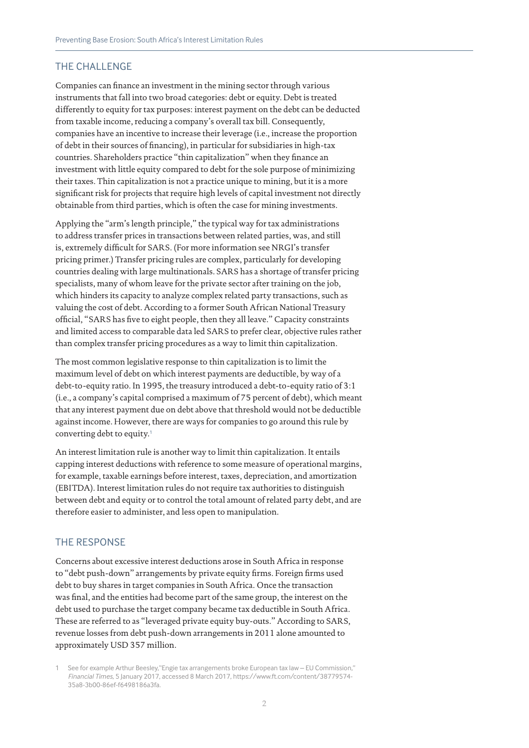# THE CHALLENGE

Companies can finance an investment in the mining sector through various instruments that fall into two broad categories: debt or equity. Debt is treated differently to equity for tax purposes: interest payment on the debt can be deducted from taxable income, reducing a company's overall tax bill. Consequently, companies have an incentive to increase their leverage (i.e., increase the proportion of debt in their sources of financing), in particular for subsidiaries in high-tax countries. Shareholders practice "thin capitalization" when they finance an investment with little equity compared to debt for the sole purpose of minimizing their taxes. Thin capitalization is not a practice unique to mining, but it is a more significant risk for projects that require high levels of capital investment not directly obtainable from third parties, which is often the case for mining investments.

Applying the "arm's length principle," the typical way for tax administrations to address transfer prices in transactions between related parties, was, and still is, extremely difficult for SARS. (For more information see [NRGI's transfer](http://www.resourcegovernance.org/analysis-tools/publications/primer-transfer-pricing-0)  [pricing primer](http://www.resourcegovernance.org/analysis-tools/publications/primer-transfer-pricing-0).) Transfer pricing rules are complex, particularly for developing countries dealing with large multinationals. SARS has a shortage of transfer pricing specialists, many of whom leave for the private sector after training on the job, which hinders its capacity to analyze complex related party transactions, such as valuing the cost of debt. According to a former South African National Treasury official, "SARS has five to eight people, then they all leave." Capacity constraints and limited access to comparable data led SARS to prefer clear, objective rules rather than complex transfer pricing procedures as a way to limit thin capitalization.

The most common legislative response to thin capitalization is to limit the maximum level of debt on which interest payments are deductible, by way of a debt-to-equity ratio. In 1995, the treasury introduced a debt-to-equity ratio of 3:1 (i.e., a company's capital comprised a maximum of 75 percent of debt), which meant that any interest payment due on debt above that threshold would not be deductible against income. However, there are ways for companies to go around this rule by converting debt to equity.<sup>1</sup>

An interest limitation rule is another way to limit thin capitalization. It entails capping interest deductions with reference to some measure of operational margins, for example, taxable earnings before interest, taxes, depreciation, and amortization (EBITDA). Interest limitation rules do not require tax authorities to distinguish between debt and equity or to control the total amount of related party debt, and are therefore easier to administer, and less open to manipulation.

### THE RESPONSE

Concerns about excessive interest deductions arose in South Africa in response to "debt push-down" arrangements by private equity firms. Foreign firms used debt to buy shares in target companies in South Africa. Once the transaction was final, and the entities had become part of the same group, the interest on the debt used to purchase the target company became tax deductible in South Africa. These are referred to as "leveraged private equity buy-outs." According to SARS, revenue losses from debt push-down arrangements in 2011 alone amounted to approximately USD 357 million.

1 See for example Arthur Beesley,"Engie tax arrangements broke European tax law – EU Commission," *Financial Times*, 5 January 2017, accessed 8 March 2017, https://www.ft.com/content/38779574- 35a8-3b00-86ef-f6498186a3fa.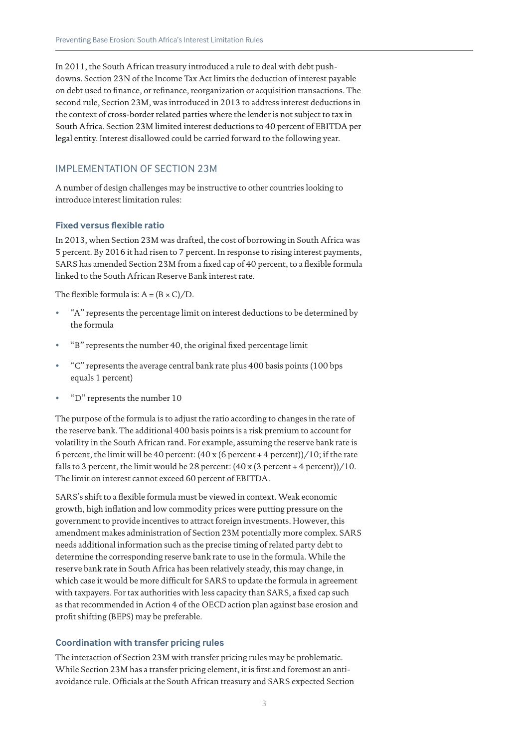In 2011, the South African treasury introduced a rule to deal with debt pushdowns. Section 23N of the Income Tax Act limits the deduction of interest payable on debt used to finance, or refinance, reorganization or acquisition transactions. The second rule, Section 23M, was introduced in 2013 to address interest deductions in the context of cross-border related parties where the lender is not subject to tax in South Africa. Section 23M limited interest deductions to 40 percent of EBITDA per legal entity. Interest disallowed could be carried forward to the following year.

#### IMPLEMENTATION OF SECTION 23M

A number of design challenges may be instructive to other countries looking to introduce interest limitation rules:

#### **Fixed versus flexible ratio**

In 2013, when Section 23M was drafted, the cost of borrowing in South Africa was 5 percent. By 2016 it had risen to 7 percent. In response to rising interest payments, SARS has amended Section 23M from a fixed cap of 40 percent, to a flexible formula linked to the South African Reserve Bank interest rate.

The flexible formula is:  $A = (B \times C)/D$ .

- "A" represents the percentage limit on interest deductions to be determined by the formula
- "B" represents the number 40, the original fixed percentage limit
- "C" represents the average central bank rate plus 400 basis points (100 bps equals 1 percent)
- "D" represents the number 10

The purpose of the formula is to adjust the ratio according to changes in the rate of the reserve bank. The additional 400 basis points is a risk premium to account for volatility in the South African rand. For example, assuming the reserve bank rate is 6 percent, the limit will be 40 percent:  $(40 \times 6 \text{ percent} + 4 \text{ percent})/10$ ; if the rate falls to 3 percent, the limit would be 28 percent:  $(40 \times (3 \text{ percent} + 4 \text{ percent}))/10$ . The limit on interest cannot exceed 60 percent of EBITDA.

SARS's shift to a flexible formula must be viewed in context. Weak economic growth, high inflation and low commodity prices were putting pressure on the government to provide incentives to attract foreign investments. However, this amendment makes administration of Section 23M potentially more complex. SARS needs additional information such as the precise timing of related party debt to determine the corresponding reserve bank rate to use in the formula. While the reserve bank rate in South Africa has been relatively steady, this may change, in which case it would be more difficult for SARS to update the formula in agreement with taxpayers. For tax authorities with less capacity than SARS, a fixed cap such as that recommended in Action 4 of the OECD action plan against base erosion and profit shifting (BEPS) may be preferable.

#### **Coordination with transfer pricing rules**

The interaction of Section 23M with transfer pricing rules may be problematic. While Section 23M has a transfer pricing element, it is first and foremost an antiavoidance rule. Officials at the South African treasury and SARS expected Section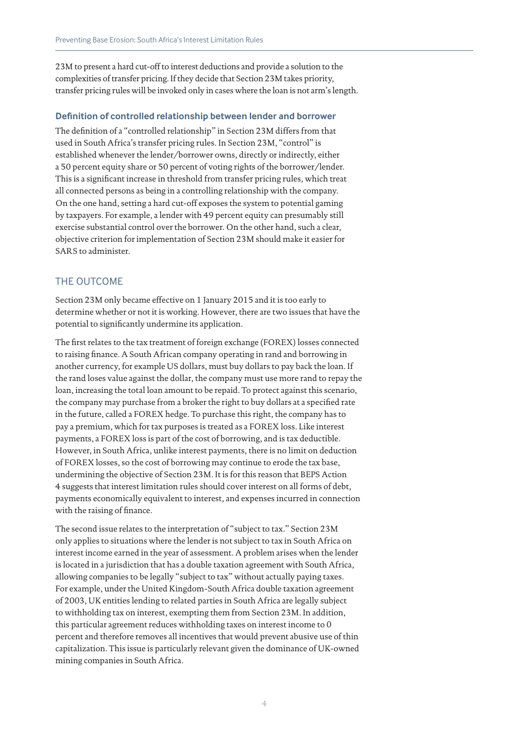23M to present a hard cut-off to interest deductions and provide a solution to the complexities of transfer pricing. If they decide that Section 23M takes priority, transfer pricing rules will be invoked only in cases where the loan is not arm's length.

#### **Definition of controlled relationship between lender and borrower**

The definition of a "controlled relationship" in Section 23M differs from that used in South Africa's transfer pricing rules. In Section 23M, "control" is established whenever the lender/borrower owns, directly or indirectly, either a 50 percent equity share or 50 percent of voting rights of the borrower/lender. This is a significant increase in threshold from transfer pricing rules, which treat all connected persons as being in a controlling relationship with the company. On the one hand, setting a hard cut-off exposes the system to potential gaming by taxpayers. For example, a lender with 49 percent equity can presumably still exercise substantial control over the borrower. On the other hand, such a clear, objective criterion for implementation of Section 23M should make it easier for SARS to administer.

# THE OUTCOME

Section 23M only became effective on 1 January 2015 and it is too early to determine whether or not it is working. However, there are two issues that have the potential to significantly undermine its application.

The first relates to the tax treatment of foreign exchange (FOREX) losses connected to raising finance. A South African company operating in rand and borrowing in another currency, for example US dollars, must buy dollars to pay back the loan. If the rand loses value against the dollar, the company must use more rand to repay the loan, increasing the total loan amount to be repaid. To protect against this scenario, the company may purchase from a broker the right to buy dollars at a specified rate in the future, called a FOREX hedge. To purchase this right, the company has to pay a premium, which for tax purposes is treated as a FOREX loss. Like interest payments, a FOREX loss is part of the cost of borrowing, and is tax deductible. However, in South Africa, unlike interest payments, there is no limit on deduction of FOREX losses, so the cost of borrowing may continue to erode the tax base, undermining the objective of Section 23M. It is for this reason that BEPS Action 4 suggests that interest limitation rules should cover interest on all forms of debt, payments economically equivalent to interest, and expenses incurred in connection with the raising of finance.

The second issue relates to the interpretation of "subject to tax." Section 23M only applies to situations where the lender is not subject to tax in South Africa on interest income earned in the year of assessment. A problem arises when the lender is located in a jurisdiction that has a double taxation agreement with South Africa, allowing companies to be legally "subject to tax" without actually paying taxes. For example, under the United Kingdom-South Africa double taxation agreement of 2003, UK entities lending to related parties in South Africa are legally subject to withholding tax on interest, exempting them from Section 23M. In addition, this particular agreement reduces withholding taxes on interest income to 0 percent and therefore removes all incentives that would prevent abusive use of thin capitalization. This issue is particularly relevant given the dominance of UK-owned mining companies in South Africa.